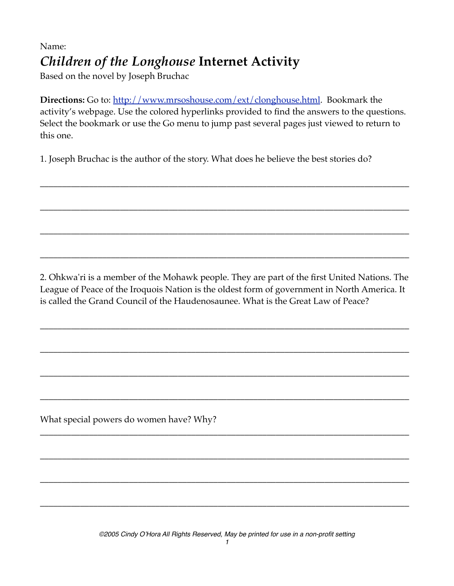## Name: *Children of the Longhouse* **Internet Activity**

Based on the novel by Joseph Bruchac

**Directions:** Go to:<http://www.mrsoshouse.com/ext/clonghouse.html>. Bookmark the activity's webpage. Use the colored hyperlinks provided to find the answers to the questions. Select the bookmark or use the Go menu to jump past several pages just viewed to return to this one.

\_\_\_\_\_\_\_\_\_\_\_\_\_\_\_\_\_\_\_\_\_\_\_\_\_\_\_\_\_\_\_\_\_\_\_\_\_\_\_\_\_\_\_\_\_\_\_\_\_\_\_\_\_\_\_\_\_\_\_\_\_\_\_\_\_\_\_\_\_\_\_\_\_\_\_\_\_\_\_\_\_\_\_

\_\_\_\_\_\_\_\_\_\_\_\_\_\_\_\_\_\_\_\_\_\_\_\_\_\_\_\_\_\_\_\_\_\_\_\_\_\_\_\_\_\_\_\_\_\_\_\_\_\_\_\_\_\_\_\_\_\_\_\_\_\_\_\_\_\_\_\_\_\_\_\_\_\_\_\_\_\_\_\_\_\_\_

\_\_\_\_\_\_\_\_\_\_\_\_\_\_\_\_\_\_\_\_\_\_\_\_\_\_\_\_\_\_\_\_\_\_\_\_\_\_\_\_\_\_\_\_\_\_\_\_\_\_\_\_\_\_\_\_\_\_\_\_\_\_\_\_\_\_\_\_\_\_\_\_\_\_\_\_\_\_\_\_\_\_\_

\_\_\_\_\_\_\_\_\_\_\_\_\_\_\_\_\_\_\_\_\_\_\_\_\_\_\_\_\_\_\_\_\_\_\_\_\_\_\_\_\_\_\_\_\_\_\_\_\_\_\_\_\_\_\_\_\_\_\_\_\_\_\_\_\_\_\_\_\_\_\_\_\_\_\_\_\_\_\_\_\_\_\_

1. Joseph Bruchac is the author of the story. What does he believe the best stories do?

2. Ohkwa'ri is a member of the Mohawk people. They are part of the first United Nations. The League of Peace of the Iroquois Nation is the oldest form of government in North America. It is called the Grand Council of the Haudenosaunee. What is the Great Law of Peace?

\_\_\_\_\_\_\_\_\_\_\_\_\_\_\_\_\_\_\_\_\_\_\_\_\_\_\_\_\_\_\_\_\_\_\_\_\_\_\_\_\_\_\_\_\_\_\_\_\_\_\_\_\_\_\_\_\_\_\_\_\_\_\_\_\_\_\_\_\_\_\_\_\_\_\_\_\_\_\_\_\_\_\_

\_\_\_\_\_\_\_\_\_\_\_\_\_\_\_\_\_\_\_\_\_\_\_\_\_\_\_\_\_\_\_\_\_\_\_\_\_\_\_\_\_\_\_\_\_\_\_\_\_\_\_\_\_\_\_\_\_\_\_\_\_\_\_\_\_\_\_\_\_\_\_\_\_\_\_\_\_\_\_\_\_\_\_

\_\_\_\_\_\_\_\_\_\_\_\_\_\_\_\_\_\_\_\_\_\_\_\_\_\_\_\_\_\_\_\_\_\_\_\_\_\_\_\_\_\_\_\_\_\_\_\_\_\_\_\_\_\_\_\_\_\_\_\_\_\_\_\_\_\_\_\_\_\_\_\_\_\_\_\_\_\_\_\_\_\_\_

\_\_\_\_\_\_\_\_\_\_\_\_\_\_\_\_\_\_\_\_\_\_\_\_\_\_\_\_\_\_\_\_\_\_\_\_\_\_\_\_\_\_\_\_\_\_\_\_\_\_\_\_\_\_\_\_\_\_\_\_\_\_\_\_\_\_\_\_\_\_\_\_\_\_\_\_\_\_\_\_\_\_\_

\_\_\_\_\_\_\_\_\_\_\_\_\_\_\_\_\_\_\_\_\_\_\_\_\_\_\_\_\_\_\_\_\_\_\_\_\_\_\_\_\_\_\_\_\_\_\_\_\_\_\_\_\_\_\_\_\_\_\_\_\_\_\_\_\_\_\_\_\_\_\_\_\_\_\_\_\_\_\_\_\_\_\_

\_\_\_\_\_\_\_\_\_\_\_\_\_\_\_\_\_\_\_\_\_\_\_\_\_\_\_\_\_\_\_\_\_\_\_\_\_\_\_\_\_\_\_\_\_\_\_\_\_\_\_\_\_\_\_\_\_\_\_\_\_\_\_\_\_\_\_\_\_\_\_\_\_\_\_\_\_\_\_\_\_\_\_

\_\_\_\_\_\_\_\_\_\_\_\_\_\_\_\_\_\_\_\_\_\_\_\_\_\_\_\_\_\_\_\_\_\_\_\_\_\_\_\_\_\_\_\_\_\_\_\_\_\_\_\_\_\_\_\_\_\_\_\_\_\_\_\_\_\_\_\_\_\_\_\_\_\_\_\_\_\_\_\_\_\_\_

\_\_\_\_\_\_\_\_\_\_\_\_\_\_\_\_\_\_\_\_\_\_\_\_\_\_\_\_\_\_\_\_\_\_\_\_\_\_\_\_\_\_\_\_\_\_\_\_\_\_\_\_\_\_\_\_\_\_\_\_\_\_\_\_\_\_\_\_\_\_\_\_\_\_\_\_\_\_\_\_\_\_\_

What special powers do women have? Why?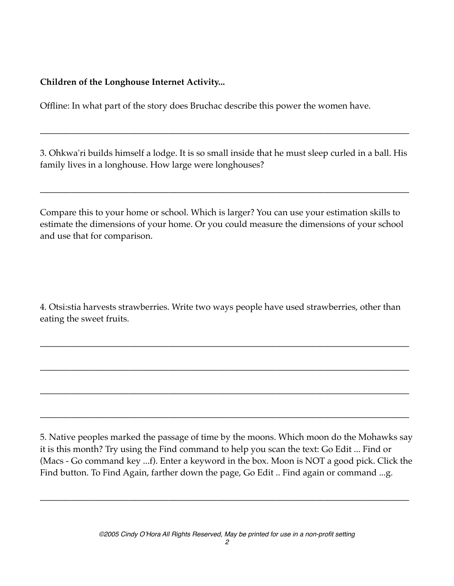**Children of the Longhouse Internet Activity...**

Offline: In what part of the story does Bruchac describe this power the women have.

3. Ohkwa'ri builds himself a lodge. It is so small inside that he must sleep curled in a ball. His family lives in a longhouse. How large were longhouses?

\_\_\_\_\_\_\_\_\_\_\_\_\_\_\_\_\_\_\_\_\_\_\_\_\_\_\_\_\_\_\_\_\_\_\_\_\_\_\_\_\_\_\_\_\_\_\_\_\_\_\_\_\_\_\_\_\_\_\_\_\_\_\_\_\_\_\_\_\_\_\_\_\_\_\_\_\_\_\_\_\_\_\_

\_\_\_\_\_\_\_\_\_\_\_\_\_\_\_\_\_\_\_\_\_\_\_\_\_\_\_\_\_\_\_\_\_\_\_\_\_\_\_\_\_\_\_\_\_\_\_\_\_\_\_\_\_\_\_\_\_\_\_\_\_\_\_\_\_\_\_\_\_\_\_\_\_\_\_\_\_\_\_\_\_\_\_

Compare this to your home or school. Which is larger? You can use your estimation skills to estimate the dimensions of your home. Or you could measure the dimensions of your school and use that for comparison.

4. Otsi:stia harvests strawberries. Write two ways people have used strawberries, other than eating the sweet fruits.

\_\_\_\_\_\_\_\_\_\_\_\_\_\_\_\_\_\_\_\_\_\_\_\_\_\_\_\_\_\_\_\_\_\_\_\_\_\_\_\_\_\_\_\_\_\_\_\_\_\_\_\_\_\_\_\_\_\_\_\_\_\_\_\_\_\_\_\_\_\_\_\_\_\_\_\_\_\_\_\_\_\_\_

\_\_\_\_\_\_\_\_\_\_\_\_\_\_\_\_\_\_\_\_\_\_\_\_\_\_\_\_\_\_\_\_\_\_\_\_\_\_\_\_\_\_\_\_\_\_\_\_\_\_\_\_\_\_\_\_\_\_\_\_\_\_\_\_\_\_\_\_\_\_\_\_\_\_\_\_\_\_\_\_\_\_\_

\_\_\_\_\_\_\_\_\_\_\_\_\_\_\_\_\_\_\_\_\_\_\_\_\_\_\_\_\_\_\_\_\_\_\_\_\_\_\_\_\_\_\_\_\_\_\_\_\_\_\_\_\_\_\_\_\_\_\_\_\_\_\_\_\_\_\_\_\_\_\_\_\_\_\_\_\_\_\_\_\_\_\_

\_\_\_\_\_\_\_\_\_\_\_\_\_\_\_\_\_\_\_\_\_\_\_\_\_\_\_\_\_\_\_\_\_\_\_\_\_\_\_\_\_\_\_\_\_\_\_\_\_\_\_\_\_\_\_\_\_\_\_\_\_\_\_\_\_\_\_\_\_\_\_\_\_\_\_\_\_\_\_\_\_\_\_

5. Native peoples marked the passage of time by the moons. Which moon do the Mohawks say it is this month? Try using the Find command to help you scan the text: Go Edit ... Find or (Macs - Go command key ...f). Enter a keyword in the box. Moon is NOT a good pick. Click the Find button. To Find Again, farther down the page, Go Edit .. Find again or command ...g.

\_\_\_\_\_\_\_\_\_\_\_\_\_\_\_\_\_\_\_\_\_\_\_\_\_\_\_\_\_\_\_\_\_\_\_\_\_\_\_\_\_\_\_\_\_\_\_\_\_\_\_\_\_\_\_\_\_\_\_\_\_\_\_\_\_\_\_\_\_\_\_\_\_\_\_\_\_\_\_\_\_\_\_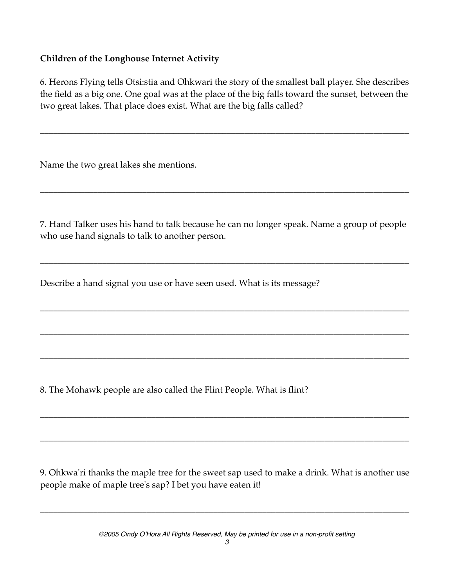## **Children of the Longhouse Internet Activity**

6. Herons Flying tells Otsi:stia and Ohkwari the story of the smallest ball player. She describes the field as a big one. One goal was at the place of the big falls toward the sunset, between the two great lakes. That place does exist. What are the big falls called?

\_\_\_\_\_\_\_\_\_\_\_\_\_\_\_\_\_\_\_\_\_\_\_\_\_\_\_\_\_\_\_\_\_\_\_\_\_\_\_\_\_\_\_\_\_\_\_\_\_\_\_\_\_\_\_\_\_\_\_\_\_\_\_\_\_\_\_\_\_\_\_\_\_\_\_\_\_\_\_\_\_\_\_

Name the two great lakes she mentions.

7. Hand Talker uses his hand to talk because he can no longer speak. Name a group of people who use hand signals to talk to another person.

\_\_\_\_\_\_\_\_\_\_\_\_\_\_\_\_\_\_\_\_\_\_\_\_\_\_\_\_\_\_\_\_\_\_\_\_\_\_\_\_\_\_\_\_\_\_\_\_\_\_\_\_\_\_\_\_\_\_\_\_\_\_\_\_\_\_\_\_\_\_\_\_\_\_\_\_\_\_\_\_\_\_\_

\_\_\_\_\_\_\_\_\_\_\_\_\_\_\_\_\_\_\_\_\_\_\_\_\_\_\_\_\_\_\_\_\_\_\_\_\_\_\_\_\_\_\_\_\_\_\_\_\_\_\_\_\_\_\_\_\_\_\_\_\_\_\_\_\_\_\_\_\_\_\_\_\_\_\_\_\_\_\_\_\_\_\_

\_\_\_\_\_\_\_\_\_\_\_\_\_\_\_\_\_\_\_\_\_\_\_\_\_\_\_\_\_\_\_\_\_\_\_\_\_\_\_\_\_\_\_\_\_\_\_\_\_\_\_\_\_\_\_\_\_\_\_\_\_\_\_\_\_\_\_\_\_\_\_\_\_\_\_\_\_\_\_\_\_\_\_

\_\_\_\_\_\_\_\_\_\_\_\_\_\_\_\_\_\_\_\_\_\_\_\_\_\_\_\_\_\_\_\_\_\_\_\_\_\_\_\_\_\_\_\_\_\_\_\_\_\_\_\_\_\_\_\_\_\_\_\_\_\_\_\_\_\_\_\_\_\_\_\_\_\_\_\_\_\_\_\_\_\_\_

\_\_\_\_\_\_\_\_\_\_\_\_\_\_\_\_\_\_\_\_\_\_\_\_\_\_\_\_\_\_\_\_\_\_\_\_\_\_\_\_\_\_\_\_\_\_\_\_\_\_\_\_\_\_\_\_\_\_\_\_\_\_\_\_\_\_\_\_\_\_\_\_\_\_\_\_\_\_\_\_\_\_\_

\_\_\_\_\_\_\_\_\_\_\_\_\_\_\_\_\_\_\_\_\_\_\_\_\_\_\_\_\_\_\_\_\_\_\_\_\_\_\_\_\_\_\_\_\_\_\_\_\_\_\_\_\_\_\_\_\_\_\_\_\_\_\_\_\_\_\_\_\_\_\_\_\_\_\_\_\_\_\_\_\_\_\_

\_\_\_\_\_\_\_\_\_\_\_\_\_\_\_\_\_\_\_\_\_\_\_\_\_\_\_\_\_\_\_\_\_\_\_\_\_\_\_\_\_\_\_\_\_\_\_\_\_\_\_\_\_\_\_\_\_\_\_\_\_\_\_\_\_\_\_\_\_\_\_\_\_\_\_\_\_\_\_\_\_\_\_

Describe a hand signal you use or have seen used. What is its message?

8. The Mohawk people are also called the Flint People. What is flint?

9. Ohkwa'ri thanks the maple tree for the sweet sap used to make a drink. What is another use people make of maple tree's sap? I bet you have eaten it!

\_\_\_\_\_\_\_\_\_\_\_\_\_\_\_\_\_\_\_\_\_\_\_\_\_\_\_\_\_\_\_\_\_\_\_\_\_\_\_\_\_\_\_\_\_\_\_\_\_\_\_\_\_\_\_\_\_\_\_\_\_\_\_\_\_\_\_\_\_\_\_\_\_\_\_\_\_\_\_\_\_\_\_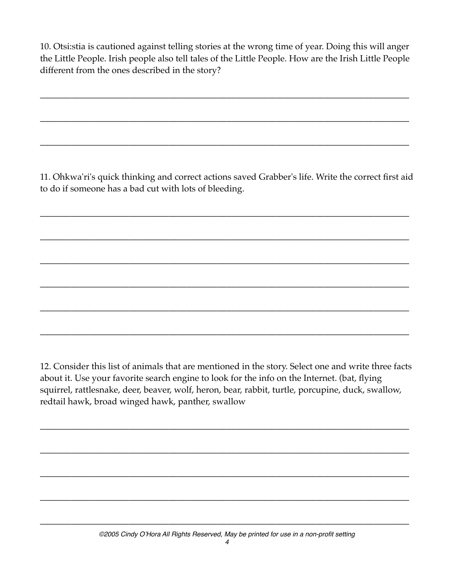10. Otsi:stia is cautioned against telling stories at the wrong time of year. Doing this will anger the Little People. Irish people also tell tales of the Little People. How are the Irish Little People different from the ones described in the story?

\_\_\_\_\_\_\_\_\_\_\_\_\_\_\_\_\_\_\_\_\_\_\_\_\_\_\_\_\_\_\_\_\_\_\_\_\_\_\_\_\_\_\_\_\_\_\_\_\_\_\_\_\_\_\_\_\_\_\_\_\_\_\_\_\_\_\_\_\_\_\_\_\_\_\_\_\_\_\_\_\_\_\_

\_\_\_\_\_\_\_\_\_\_\_\_\_\_\_\_\_\_\_\_\_\_\_\_\_\_\_\_\_\_\_\_\_\_\_\_\_\_\_\_\_\_\_\_\_\_\_\_\_\_\_\_\_\_\_\_\_\_\_\_\_\_\_\_\_\_\_\_\_\_\_\_\_\_\_\_\_\_\_\_\_\_\_

\_\_\_\_\_\_\_\_\_\_\_\_\_\_\_\_\_\_\_\_\_\_\_\_\_\_\_\_\_\_\_\_\_\_\_\_\_\_\_\_\_\_\_\_\_\_\_\_\_\_\_\_\_\_\_\_\_\_\_\_\_\_\_\_\_\_\_\_\_\_\_\_\_\_\_\_\_\_\_\_\_\_\_

11. Ohkwa'ri's quick thinking and correct actions saved Grabber's life. Write the correct first aid to do if someone has a bad cut with lots of bleeding.

\_\_\_\_\_\_\_\_\_\_\_\_\_\_\_\_\_\_\_\_\_\_\_\_\_\_\_\_\_\_\_\_\_\_\_\_\_\_\_\_\_\_\_\_\_\_\_\_\_\_\_\_\_\_\_\_\_\_\_\_\_\_\_\_\_\_\_\_\_\_\_\_\_\_\_\_\_\_\_\_\_\_\_

\_\_\_\_\_\_\_\_\_\_\_\_\_\_\_\_\_\_\_\_\_\_\_\_\_\_\_\_\_\_\_\_\_\_\_\_\_\_\_\_\_\_\_\_\_\_\_\_\_\_\_\_\_\_\_\_\_\_\_\_\_\_\_\_\_\_\_\_\_\_\_\_\_\_\_\_\_\_\_\_\_\_\_

\_\_\_\_\_\_\_\_\_\_\_\_\_\_\_\_\_\_\_\_\_\_\_\_\_\_\_\_\_\_\_\_\_\_\_\_\_\_\_\_\_\_\_\_\_\_\_\_\_\_\_\_\_\_\_\_\_\_\_\_\_\_\_\_\_\_\_\_\_\_\_\_\_\_\_\_\_\_\_\_\_\_\_

\_\_\_\_\_\_\_\_\_\_\_\_\_\_\_\_\_\_\_\_\_\_\_\_\_\_\_\_\_\_\_\_\_\_\_\_\_\_\_\_\_\_\_\_\_\_\_\_\_\_\_\_\_\_\_\_\_\_\_\_\_\_\_\_\_\_\_\_\_\_\_\_\_\_\_\_\_\_\_\_\_\_\_

\_\_\_\_\_\_\_\_\_\_\_\_\_\_\_\_\_\_\_\_\_\_\_\_\_\_\_\_\_\_\_\_\_\_\_\_\_\_\_\_\_\_\_\_\_\_\_\_\_\_\_\_\_\_\_\_\_\_\_\_\_\_\_\_\_\_\_\_\_\_\_\_\_\_\_\_\_\_\_\_\_\_\_

\_\_\_\_\_\_\_\_\_\_\_\_\_\_\_\_\_\_\_\_\_\_\_\_\_\_\_\_\_\_\_\_\_\_\_\_\_\_\_\_\_\_\_\_\_\_\_\_\_\_\_\_\_\_\_\_\_\_\_\_\_\_\_\_\_\_\_\_\_\_\_\_\_\_\_\_\_\_\_\_\_\_\_

12. Consider this list of animals that are mentioned in the story. Select one and write three facts about it. Use your favorite search engine to look for the info on the Internet. (bat, flying squirrel, rattlesnake, deer, beaver, wolf, heron, bear, rabbit, turtle, porcupine, duck, swallow, redtail hawk, broad winged hawk, panther, swallow

\_\_\_\_\_\_\_\_\_\_\_\_\_\_\_\_\_\_\_\_\_\_\_\_\_\_\_\_\_\_\_\_\_\_\_\_\_\_\_\_\_\_\_\_\_\_\_\_\_\_\_\_\_\_\_\_\_\_\_\_\_\_\_\_\_\_\_\_\_\_\_\_\_\_\_\_\_\_\_\_\_\_\_

\_\_\_\_\_\_\_\_\_\_\_\_\_\_\_\_\_\_\_\_\_\_\_\_\_\_\_\_\_\_\_\_\_\_\_\_\_\_\_\_\_\_\_\_\_\_\_\_\_\_\_\_\_\_\_\_\_\_\_\_\_\_\_\_\_\_\_\_\_\_\_\_\_\_\_\_\_\_\_\_\_\_\_

\_\_\_\_\_\_\_\_\_\_\_\_\_\_\_\_\_\_\_\_\_\_\_\_\_\_\_\_\_\_\_\_\_\_\_\_\_\_\_\_\_\_\_\_\_\_\_\_\_\_\_\_\_\_\_\_\_\_\_\_\_\_\_\_\_\_\_\_\_\_\_\_\_\_\_\_\_\_\_\_\_\_\_

\_\_\_\_\_\_\_\_\_\_\_\_\_\_\_\_\_\_\_\_\_\_\_\_\_\_\_\_\_\_\_\_\_\_\_\_\_\_\_\_\_\_\_\_\_\_\_\_\_\_\_\_\_\_\_\_\_\_\_\_\_\_\_\_\_\_\_\_\_\_\_\_\_\_\_\_\_\_\_\_\_\_\_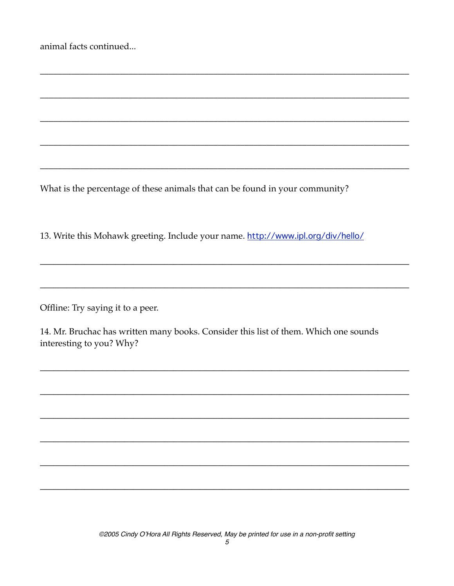|  |  | animal facts continued |
|--|--|------------------------|
|--|--|------------------------|

What is the percentage of these animals that can be found in your community?

13. Write this Mohawk greeting. Include your name. http://www.ipl.org/div/hello/

Offline: Try saying it to a peer.

14. Mr. Bruchac has written many books. Consider this list of them. Which one sounds interesting to you? Why?

©2005 Cindy O'Hora All Rights Reserved, May be printed for use in a non-profit setting